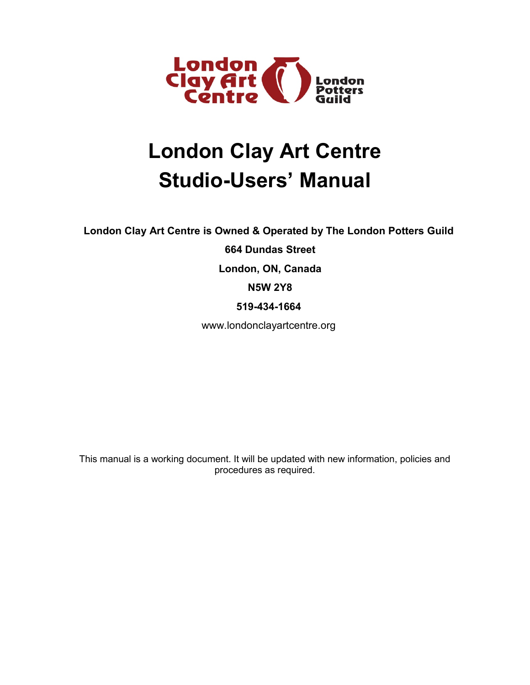

# **London Clay Art Centre Studio-Users' Manual**

**London Clay Art Centre is Owned & Operated by The London Potters Guild**

**664 Dundas Street**

**London, ON, Canada**

**N5W 2Y8**

**519-434-1664**

[www.londonclayartcentre.org](http://www.londonclayartcentre.org/)

This manual is a working document. It will be updated with new information, policies and procedures as required.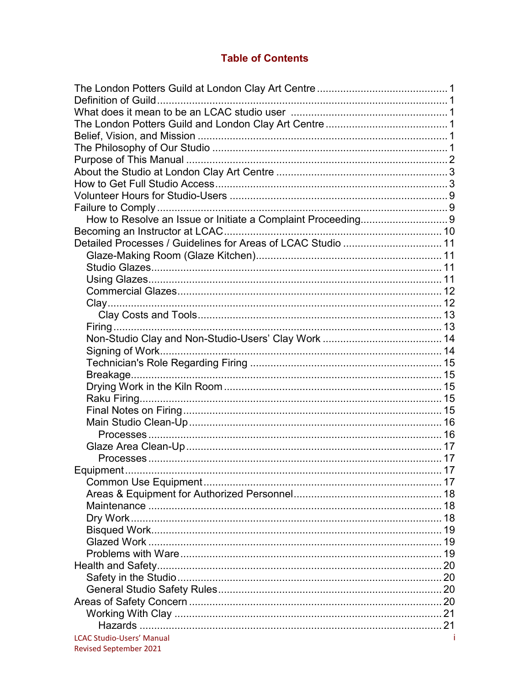# **Table of Contents**

| Detailed Processes / Guidelines for Areas of LCAC Studio  11 |  |
|--------------------------------------------------------------|--|
|                                                              |  |
|                                                              |  |
|                                                              |  |
|                                                              |  |
|                                                              |  |
|                                                              |  |
|                                                              |  |
|                                                              |  |
|                                                              |  |
|                                                              |  |
|                                                              |  |
|                                                              |  |
|                                                              |  |
|                                                              |  |
|                                                              |  |
|                                                              |  |
|                                                              |  |
|                                                              |  |
|                                                              |  |
| Equipment                                                    |  |
|                                                              |  |
|                                                              |  |
|                                                              |  |
|                                                              |  |
|                                                              |  |
|                                                              |  |
|                                                              |  |
|                                                              |  |
|                                                              |  |
|                                                              |  |
|                                                              |  |
|                                                              |  |
|                                                              |  |
| <b>LCAC Studio-Users' Manual</b>                             |  |
| Revised September 2021                                       |  |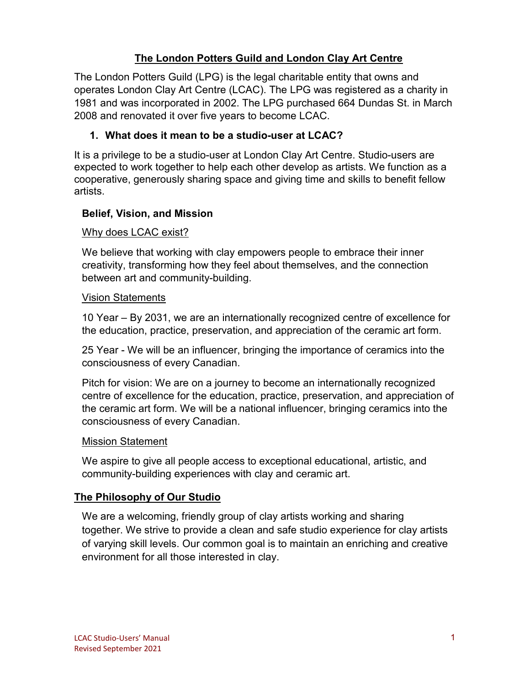## **The London Potters Guild and London Clay Art Centre**

The London Potters Guild (LPG) is the legal charitable entity that owns and operates London Clay Art Centre (LCAC). The LPG was registered as a charity in 1981 and was incorporated in 2002. The LPG purchased 664 Dundas St. in March 2008 and renovated it over five years to become LCAC.

#### **1. What does it mean to be a studio-user at LCAC?**

It is a privilege to be a studio-user at London Clay Art Centre. Studio-users are expected to work together to help each other develop as artists. We function as a cooperative, generously sharing space and giving time and skills to benefit fellow artists.

#### **Belief, Vision, and Mission**

#### Why does LCAC exist?

We believe that working with clay empowers people to embrace their inner creativity, transforming how they feel about themselves, and the connection between art and community-building.

#### Vision Statements

10 Year – By 2031, we are an internationally recognized centre of excellence for the education, practice, preservation, and appreciation of the ceramic art form.

25 Year - We will be an influencer, bringing the importance of ceramics into the consciousness of every Canadian.

Pitch for vision: We are on a journey to become an internationally recognized centre of excellence for the education, practice, preservation, and appreciation of the ceramic art form. We will be a national influencer, bringing ceramics into the consciousness of every Canadian.

#### Mission Statement

We aspire to give all people access to exceptional educational, artistic, and community-building experiences with clay and ceramic art.

#### **The Philosophy of Our Studio**

We are a welcoming, friendly group of clay artists working and sharing together. We strive to provide a clean and safe studio experience for clay artists of varying skill levels. Our common goal is to maintain an enriching and creative environment for all those interested in clay.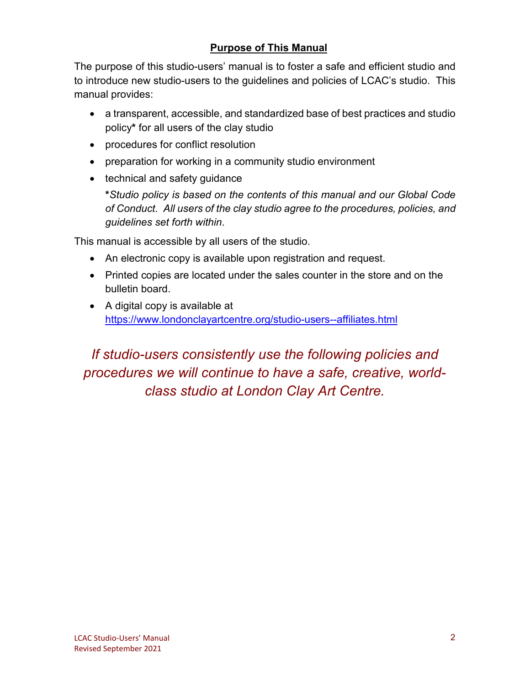# **Purpose of This Manual**

The purpose of this studio-users' manual is to foster a safe and efficient studio and to introduce new studio-users to the guidelines and policies of LCAC's studio. This manual provides:

- a transparent, accessible, and standardized base of best practices and studio policy**\*** for all users of the clay studio
- procedures for conflict resolution
- preparation for working in a community studio environment
- technical and safety guidance

**\****Studio policy is based on the contents of this manual and our Global Code of Conduct. All users of the clay studio agree to the procedures, policies, and guidelines set forth within*.

This manual is accessible by all users of the studio.

- An electronic copy is available upon registration and request.
- Printed copies are located under the sales counter in the store and on the bulletin board.
- A digital copy is available at <https://www.londonclayartcentre.org/studio-users--affiliates.html>

*If studio-users consistently use the following policies and procedures we will continue to have a safe, creative, worldclass studio at London Clay Art Centre.*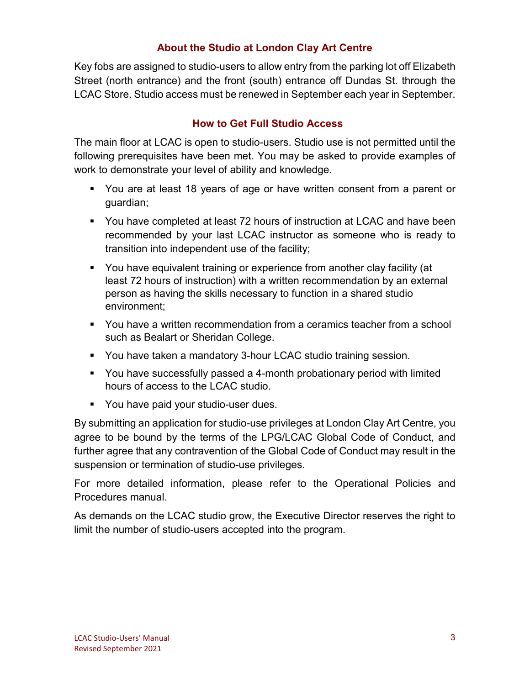## **About the Studio at London Clay Art Centre**

Key fobs are assigned to studio-users to allow entry from the parking lot off Elizabeth Street (north entrance) and the front (south) entrance off Dundas St. through the LCAC Store. Studio access must be renewed in September each year in September.

## **How to Get Full Studio Access**

The main floor at LCAC is open to studio-users. Studio use is not permitted until the following prerequisites have been met. You may be asked to provide examples of work to demonstrate your level of ability and knowledge.

- You are at least 18 years of age or have written consent from a parent or guardian;
- You have completed at least 72 hours of instruction at LCAC and have been recommended by your last LCAC instructor as someone who is ready to transition into independent use of the facility;
- You have equivalent training or experience from another clay facility (at least 72 hours of instruction) with a written recommendation by an external person as having the skills necessary to function in a shared studio environment;
- You have a written recommendation from a ceramics teacher from a school such as Bealart or Sheridan College.
- You have taken a mandatory 3-hour LCAC studio training session.
- You have successfully passed a 4-month probationary period with limited hours of access to the LCAC studio.
- **You have paid your studio-user dues.**

By submitting an application for studio-use privileges at London Clay Art Centre, you agree to be bound by the terms of the LPG/LCAC Global Code of Conduct, and further agree that any contravention of the Global Code of Conduct may result in the suspension or termination of studio-use privileges.

For more detailed information, please refer to the Operational Policies and Procedures manual.

As demands on the LCAC studio grow, the Executive Director reserves the right to limit the number of studio-users accepted into the program.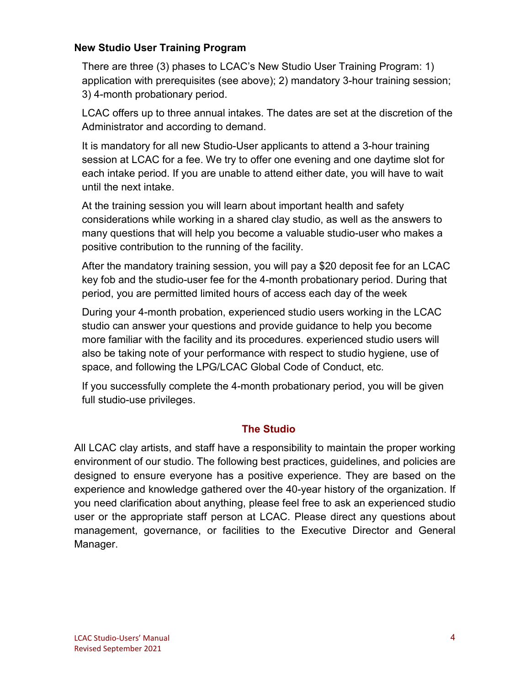#### **New Studio User Training Program**

There are three (3) phases to LCAC's New Studio User Training Program: 1) application with prerequisites (see above); 2) mandatory 3-hour training session; 3) 4-month probationary period.

LCAC offers up to three annual intakes. The dates are set at the discretion of the Administrator and according to demand.

It is mandatory for all new Studio-User applicants to attend a 3-hour training session at LCAC for a fee. We try to offer one evening and one daytime slot for each intake period. If you are unable to attend either date, you will have to wait until the next intake.

At the training session you will learn about important health and safety considerations while working in a shared clay studio, as well as the answers to many questions that will help you become a valuable studio-user who makes a positive contribution to the running of the facility.

After the mandatory training session, you will pay a \$20 deposit fee for an LCAC key fob and the studio-user fee for the 4-month probationary period. During that period, you are permitted limited hours of access each day of the week

During your 4-month probation, experienced studio users working in the LCAC studio can answer your questions and provide guidance to help you become more familiar with the facility and its procedures. experienced studio users will also be taking note of your performance with respect to studio hygiene, use of space, and following the LPG/LCAC Global Code of Conduct, etc.

If you successfully complete the 4-month probationary period, you will be given full studio-use privileges.

#### **The Studio**

All LCAC clay artists, and staff have a responsibility to maintain the proper working environment of our studio. The following best practices, guidelines, and policies are designed to ensure everyone has a positive experience. They are based on the experience and knowledge gathered over the 40-year history of the organization. If you need clarification about anything, please feel free to ask an experienced studio user or the appropriate staff person at LCAC. Please direct any questions about management, governance, or facilities to the Executive Director and General Manager.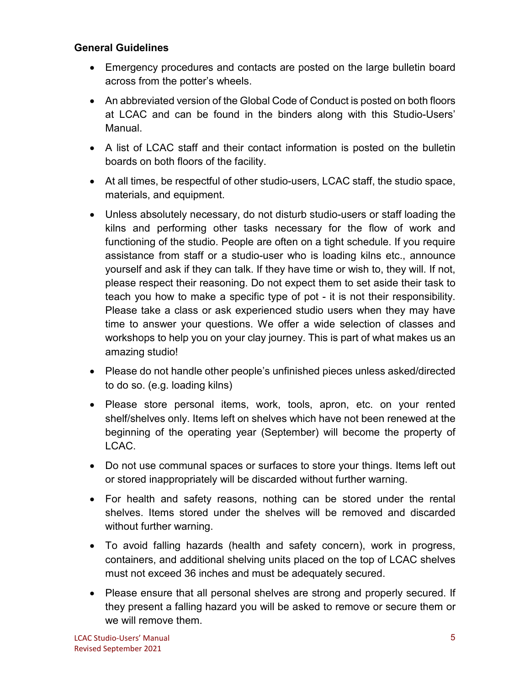#### **General Guidelines**

- Emergency procedures and contacts are posted on the large bulletin board across from the potter's wheels.
- An abbreviated version of the Global Code of Conduct is posted on both floors at LCAC and can be found in the binders along with this Studio-Users' Manual.
- A list of LCAC staff and their contact information is posted on the bulletin boards on both floors of the facility.
- At all times, be respectful of other studio-users, LCAC staff, the studio space, materials, and equipment.
- Unless absolutely necessary, do not disturb studio-users or staff loading the kilns and performing other tasks necessary for the flow of work and functioning of the studio. People are often on a tight schedule. If you require assistance from staff or a studio-user who is loading kilns etc., announce yourself and ask if they can talk. If they have time or wish to, they will. If not, please respect their reasoning. Do not expect them to set aside their task to teach you how to make a specific type of pot - it is not their responsibility. Please take a class or ask experienced studio users when they may have time to answer your questions. We offer a wide selection of classes and workshops to help you on your clay journey. This is part of what makes us an amazing studio!
- Please do not handle other people's unfinished pieces unless asked/directed to do so. (e.g. loading kilns)
- Please store personal items, work, tools, apron, etc. on your rented shelf/shelves only. Items left on shelves which have not been renewed at the beginning of the operating year (September) will become the property of LCAC.
- Do not use communal spaces or surfaces to store your things. Items left out or stored inappropriately will be discarded without further warning.
- For health and safety reasons, nothing can be stored under the rental shelves. Items stored under the shelves will be removed and discarded without further warning.
- To avoid falling hazards (health and safety concern), work in progress, containers, and additional shelving units placed on the top of LCAC shelves must not exceed 36 inches and must be adequately secured.
- Please ensure that all personal shelves are strong and properly secured. If they present a falling hazard you will be asked to remove or secure them or we will remove them.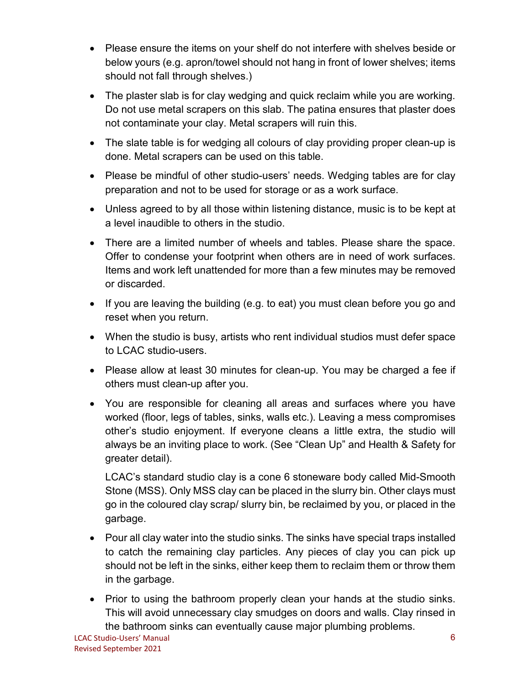- Please ensure the items on your shelf do not interfere with shelves beside or below yours (e.g. apron/towel should not hang in front of lower shelves; items should not fall through shelves.)
- The plaster slab is for clay wedging and quick reclaim while you are working. Do not use metal scrapers on this slab. The patina ensures that plaster does not contaminate your clay. Metal scrapers will ruin this.
- The slate table is for wedging all colours of clay providing proper clean-up is done. Metal scrapers can be used on this table.
- Please be mindful of other studio-users' needs. Wedging tables are for clay preparation and not to be used for storage or as a work surface.
- Unless agreed to by all those within listening distance, music is to be kept at a level inaudible to others in the studio.
- There are a limited number of wheels and tables. Please share the space. Offer to condense your footprint when others are in need of work surfaces. Items and work left unattended for more than a few minutes may be removed or discarded.
- If you are leaving the building (e.g. to eat) you must clean before you go and reset when you return.
- When the studio is busy, artists who rent individual studios must defer space to LCAC studio-users.
- Please allow at least 30 minutes for clean-up. You may be charged a fee if others must clean-up after you.
- You are responsible for cleaning all areas and surfaces where you have worked (floor, legs of tables, sinks, walls etc.). Leaving a mess compromises other's studio enjoyment. If everyone cleans a little extra, the studio will always be an inviting place to work. (See "Clean Up" and Health & Safety for greater detail).

LCAC's standard studio clay is a cone 6 stoneware body called Mid-Smooth Stone (MSS). Only MSS clay can be placed in the slurry bin. Other clays must go in the coloured clay scrap/ slurry bin, be reclaimed by you, or placed in the garbage.

- Pour all clay water into the studio sinks. The sinks have special traps installed to catch the remaining clay particles. Any pieces of clay you can pick up should not be left in the sinks, either keep them to reclaim them or throw them in the garbage.
- Prior to using the bathroom properly clean your hands at the studio sinks. This will avoid unnecessary clay smudges on doors and walls. Clay rinsed in the bathroom sinks can eventually cause major plumbing problems.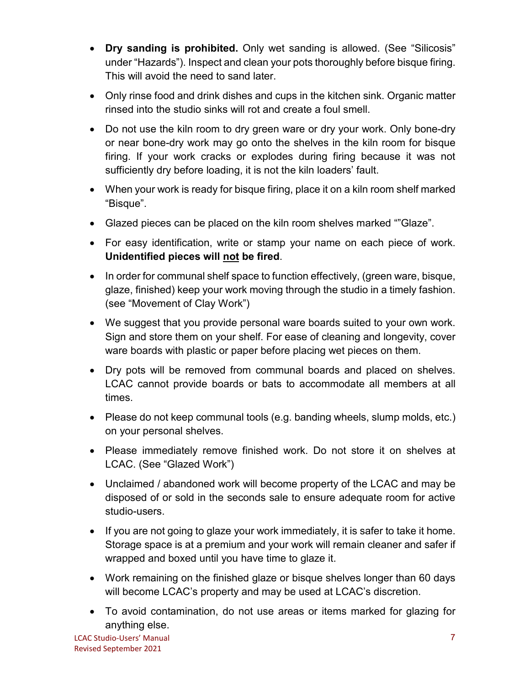- **Dry sanding is prohibited.** Only wet sanding is allowed. (See "Silicosis" under "Hazards"). Inspect and clean your pots thoroughly before bisque firing. This will avoid the need to sand later.
- Only rinse food and drink dishes and cups in the kitchen sink. Organic matter rinsed into the studio sinks will rot and create a foul smell.
- Do not use the kiln room to dry green ware or dry your work. Only bone-dry or near bone-dry work may go onto the shelves in the kiln room for bisque firing. If your work cracks or explodes during firing because it was not sufficiently dry before loading, it is not the kiln loaders' fault.
- When your work is ready for bisque firing, place it on a kiln room shelf marked "Bisque".
- Glazed pieces can be placed on the kiln room shelves marked ""Glaze".
- For easy identification, write or stamp your name on each piece of work. **Unidentified pieces will not be fired**.
- In order for communal shelf space to function effectively, (green ware, bisque, glaze, finished) keep your work moving through the studio in a timely fashion. (see "Movement of Clay Work")
- We suggest that you provide personal ware boards suited to your own work. Sign and store them on your shelf. For ease of cleaning and longevity, cover ware boards with plastic or paper before placing wet pieces on them.
- Dry pots will be removed from communal boards and placed on shelves. LCAC cannot provide boards or bats to accommodate all members at all times.
- Please do not keep communal tools (e.g. banding wheels, slump molds, etc.) on your personal shelves.
- Please immediately remove finished work. Do not store it on shelves at LCAC. (See "Glazed Work")
- Unclaimed / abandoned work will become property of the LCAC and may be disposed of or sold in the seconds sale to ensure adequate room for active studio-users.
- If you are not going to glaze your work immediately, it is safer to take it home. Storage space is at a premium and your work will remain cleaner and safer if wrapped and boxed until you have time to glaze it.
- Work remaining on the finished glaze or bisque shelves longer than 60 days will become LCAC's property and may be used at LCAC's discretion.
- To avoid contamination, do not use areas or items marked for glazing for anything else.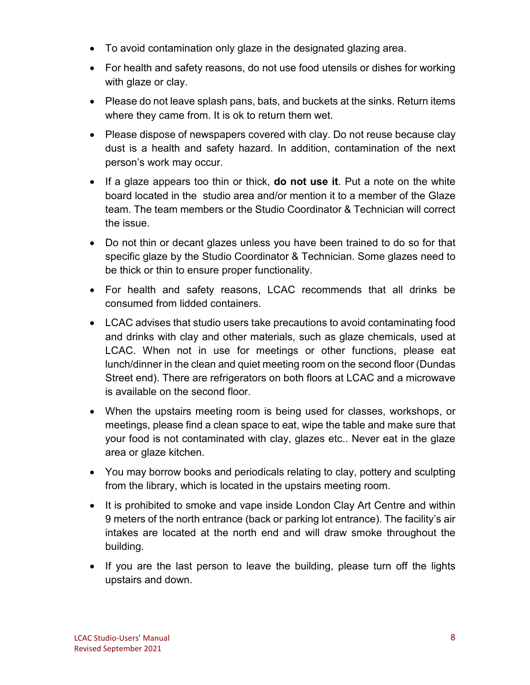- To avoid contamination only glaze in the designated glazing area.
- For health and safety reasons, do not use food utensils or dishes for working with glaze or clay.
- Please do not leave splash pans, bats, and buckets at the sinks. Return items where they came from. It is ok to return them wet.
- Please dispose of newspapers covered with clay. Do not reuse because clay dust is a health and safety hazard. In addition, contamination of the next person's work may occur.
- If a glaze appears too thin or thick, **do not use it**. Put a note on the white board located in the studio area and/or mention it to a member of the Glaze team. The team members or the Studio Coordinator & Technician will correct the issue.
- Do not thin or decant glazes unless you have been trained to do so for that specific glaze by the Studio Coordinator & Technician. Some glazes need to be thick or thin to ensure proper functionality.
- For health and safety reasons, LCAC recommends that all drinks be consumed from lidded containers.
- LCAC advises that studio users take precautions to avoid contaminating food and drinks with clay and other materials, such as glaze chemicals, used at LCAC. When not in use for meetings or other functions, please eat lunch/dinner in the clean and quiet meeting room on the second floor (Dundas Street end). There are refrigerators on both floors at LCAC and a microwave is available on the second floor.
- When the upstairs meeting room is being used for classes, workshops, or meetings, please find a clean space to eat, wipe the table and make sure that your food is not contaminated with clay, glazes etc.. Never eat in the glaze area or glaze kitchen.
- You may borrow books and periodicals relating to clay, pottery and sculpting from the library, which is located in the upstairs meeting room.
- It is prohibited to smoke and vape inside London Clay Art Centre and within 9 meters of the north entrance (back or parking lot entrance). The facility's air intakes are located at the north end and will draw smoke throughout the building.
- If you are the last person to leave the building, please turn off the lights upstairs and down.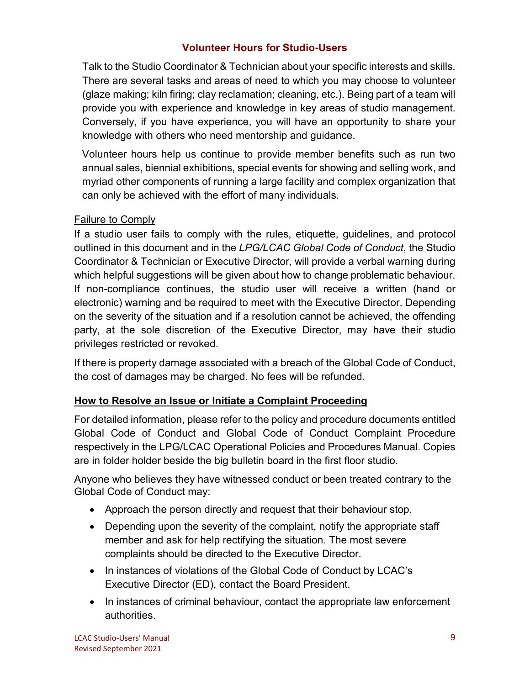## **Volunteer Hours for Studio-Users**

Talk to the Studio Coordinator & Technician about your specific interests and skills. There are several tasks and areas of need to which you may choose to volunteer (glaze making; kiln firing; clay reclamation; cleaning, etc.). Being part of a team will provide you with experience and knowledge in key areas of studio management. Conversely, if you have experience, you will have an opportunity to share your knowledge with others who need mentorship and guidance.

Volunteer hours help us continue to provide member benefits such as run two annual sales, biennial exhibitions, special events for showing and selling work, and myriad other components of running a large facility and complex organization that can only be achieved with the effort of many individuals.

#### Failure to Comply

If a studio user fails to comply with the rules, etiquette, guidelines, and protocol outlined in this document and in the *LPG/LCAC Global Code of Conduct*, the Studio Coordinator & Technician or Executive Director, will provide a verbal warning during which helpful suggestions will be given about how to change problematic behaviour. If non-compliance continues, the studio user will receive a written (hand or electronic) warning and be required to meet with the Executive Director. Depending on the severity of the situation and if a resolution cannot be achieved, the offending party, at the sole discretion of the Executive Director, may have their studio privileges restricted or revoked.

If there is property damage associated with a breach of the Global Code of Conduct, the cost of damages may be charged. No fees will be refunded.

#### **How to Resolve an Issue or Initiate a Complaint Proceeding**

For detailed information, please refer to the policy and procedure documents entitled Global Code of Conduct and Global Code of Conduct Complaint Procedure respectively in the LPG/LCAC Operational Policies and Procedures Manual. Copies are in folder holder beside the big bulletin board in the first floor studio.

Anyone who believes they have witnessed conduct or been treated contrary to the Global Code of Conduct may:

- Approach the person directly and request that their behaviour stop.
- Depending upon the severity of the complaint, notify the appropriate staff member and ask for help rectifying the situation. The most severe complaints should be directed to the Executive Director.
- In instances of violations of the Global Code of Conduct by LCAC's Executive Director (ED), contact the Board President.
- In instances of criminal behaviour, contact the appropriate law enforcement authorities.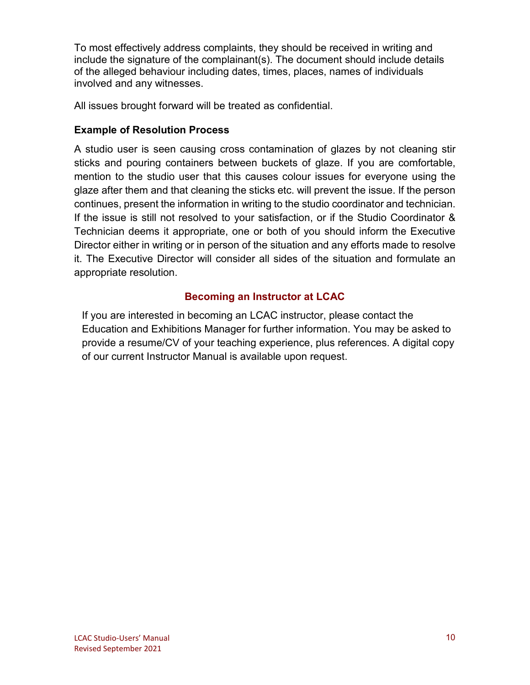To most effectively address complaints, they should be received in writing and include the signature of the complainant(s). The document should include details of the alleged behaviour including dates, times, places, names of individuals involved and any witnesses.

All issues brought forward will be treated as confidential.

## **Example of Resolution Process**

A studio user is seen causing cross contamination of glazes by not cleaning stir sticks and pouring containers between buckets of glaze. If you are comfortable, mention to the studio user that this causes colour issues for everyone using the glaze after them and that cleaning the sticks etc. will prevent the issue. If the person continues, present the information in writing to the studio coordinator and technician. If the issue is still not resolved to your satisfaction, or if the Studio Coordinator & Technician deems it appropriate, one or both of you should inform the Executive Director either in writing or in person of the situation and any efforts made to resolve it. The Executive Director will consider all sides of the situation and formulate an appropriate resolution.

## **Becoming an Instructor at LCAC**

If you are interested in becoming an LCAC instructor, please contact the Education and Exhibitions Manager for further information. You may be asked to provide a resume/CV of your teaching experience, plus references. A digital copy of our current Instructor Manual is available upon request.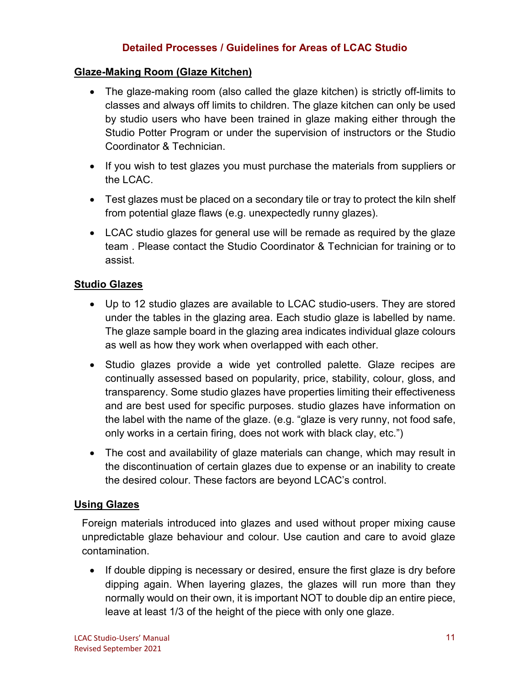#### **Detailed Processes / Guidelines for Areas of LCAC Studio**

#### **Glaze-Making Room (Glaze Kitchen)**

- The glaze-making room (also called the glaze kitchen) is strictly off-limits to classes and always off limits to children. The glaze kitchen can only be used by studio users who have been trained in glaze making either through the Studio Potter Program or under the supervision of instructors or the Studio Coordinator & Technician.
- If you wish to test glazes you must purchase the materials from suppliers or the LCAC.
- Test glazes must be placed on a secondary tile or tray to protect the kiln shelf from potential glaze flaws (e.g. unexpectedly runny glazes).
- LCAC studio glazes for general use will be remade as required by the glaze team . Please contact the Studio Coordinator & Technician for training or to assist.

#### **Studio Glazes**

- Up to 12 studio glazes are available to LCAC studio-users. They are stored under the tables in the glazing area. Each studio glaze is labelled by name. The glaze sample board in the glazing area indicates individual glaze colours as well as how they work when overlapped with each other.
- Studio glazes provide a wide yet controlled palette. Glaze recipes are continually assessed based on popularity, price, stability, colour, gloss, and transparency. Some studio glazes have properties limiting their effectiveness and are best used for specific purposes. studio glazes have information on the label with the name of the glaze. (e.g. "glaze is very runny, not food safe, only works in a certain firing, does not work with black clay, etc.")
- The cost and availability of glaze materials can change, which may result in the discontinuation of certain glazes due to expense or an inability to create the desired colour. These factors are beyond LCAC's control.

#### **Using Glazes**

Foreign materials introduced into glazes and used without proper mixing cause unpredictable glaze behaviour and colour. Use caution and care to avoid glaze contamination.

• If double dipping is necessary or desired, ensure the first glaze is dry before dipping again. When layering glazes, the glazes will run more than they normally would on their own, it is important NOT to double dip an entire piece, leave at least 1/3 of the height of the piece with only one glaze.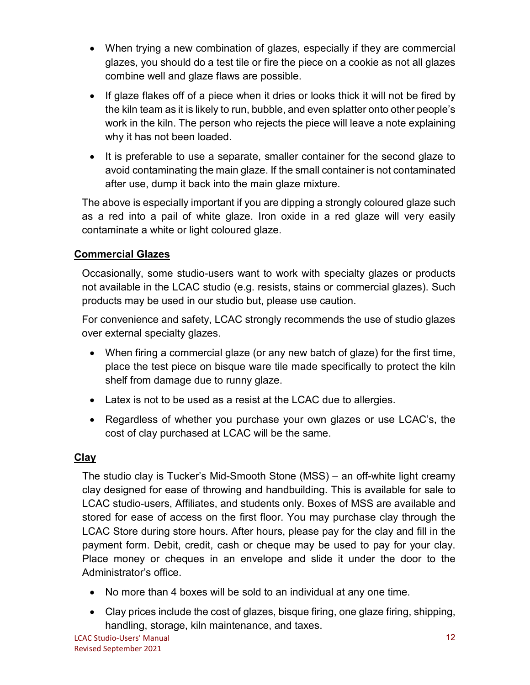- When trying a new combination of glazes, especially if they are commercial glazes, you should do a test tile or fire the piece on a cookie as not all glazes combine well and glaze flaws are possible.
- If glaze flakes off of a piece when it dries or looks thick it will not be fired by the kiln team as it is likely to run, bubble, and even splatter onto other people's work in the kiln. The person who rejects the piece will leave a note explaining why it has not been loaded.
- It is preferable to use a separate, smaller container for the second glaze to avoid contaminating the main glaze. If the small container is not contaminated after use, dump it back into the main glaze mixture.

The above is especially important if you are dipping a strongly coloured glaze such as a red into a pail of white glaze. Iron oxide in a red glaze will very easily contaminate a white or light coloured glaze.

# **Commercial Glazes**

Occasionally, some studio-users want to work with specialty glazes or products not available in the LCAC studio (e.g. resists, stains or commercial glazes). Such products may be used in our studio but, please use caution.

For convenience and safety, LCAC strongly recommends the use of studio glazes over external specialty glazes.

- When firing a commercial glaze (or any new batch of glaze) for the first time, place the test piece on bisque ware tile made specifically to protect the kiln shelf from damage due to runny glaze.
- Latex is not to be used as a resist at the LCAC due to allergies.
- Regardless of whether you purchase your own glazes or use LCAC's, the cost of clay purchased at LCAC will be the same.

# **Clay**

The studio clay is Tucker's Mid-Smooth Stone (MSS) – an off-white light creamy clay designed for ease of throwing and handbuilding. This is available for sale to LCAC studio-users, Affiliates, and students only. Boxes of MSS are available and stored for ease of access on the first floor. You may purchase clay through the LCAC Store during store hours. After hours, please pay for the clay and fill in the payment form. Debit, credit, cash or cheque may be used to pay for your clay. Place money or cheques in an envelope and slide it under the door to the Administrator's office.

- No more than 4 boxes will be sold to an individual at any one time.
- Clay prices include the cost of glazes, bisque firing, one glaze firing, shipping, handling, storage, kiln maintenance, and taxes.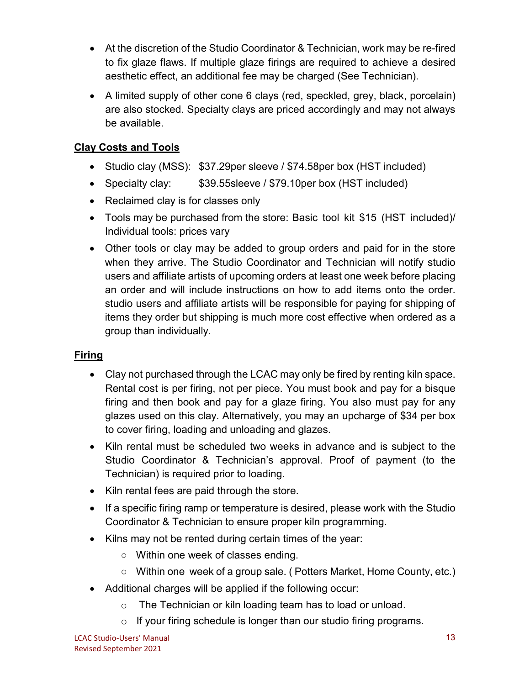- At the discretion of the Studio Coordinator & Technician, work may be re-fired to fix glaze flaws. If multiple glaze firings are required to achieve a desired aesthetic effect, an additional fee may be charged (See Technician).
- A limited supply of other cone 6 clays (red, speckled, grey, black, porcelain) are also stocked. Specialty clays are priced accordingly and may not always be available.

# **Clay Costs and Tools**

- Studio clay (MSS): \$37.29per sleeve / \$74.58per box (HST included)
- Specialty clay: \$39.55sleeve / \$79.10per box (HST included)
- Reclaimed clay is for classes only
- Tools may be purchased from the store: Basic tool kit \$15 (HST included)/ Individual tools: prices vary
- Other tools or clay may be added to group orders and paid for in the store when they arrive. The Studio Coordinator and Technician will notify studio users and affiliate artists of upcoming orders at least one week before placing an order and will include instructions on how to add items onto the order. studio users and affiliate artists will be responsible for paying for shipping of items they order but shipping is much more cost effective when ordered as a group than individually.

# **Firing**

- Clay not purchased through the LCAC may only be fired by renting kiln space. Rental cost is per firing, not per piece. You must book and pay for a bisque firing and then book and pay for a glaze firing. You also must pay for any glazes used on this clay. Alternatively, you may an upcharge of \$34 per box to cover firing, loading and unloading and glazes.
- Kiln rental must be scheduled two weeks in advance and is subject to the Studio Coordinator & Technician's approval. Proof of payment (to the Technician) is required prior to loading.
- Kiln rental fees are paid through the store.
- If a specific firing ramp or temperature is desired, please work with the Studio Coordinator & Technician to ensure proper kiln programming.
- Kilns may not be rented during certain times of the year:
	- Within one week of classes ending.
	- Within one week of a group sale. (Potters Market, Home County, etc.)
- Additional charges will be applied if the following occur:
	- o The Technician or kiln loading team has to load or unload.
	- $\circ$  If your firing schedule is longer than our studio firing programs.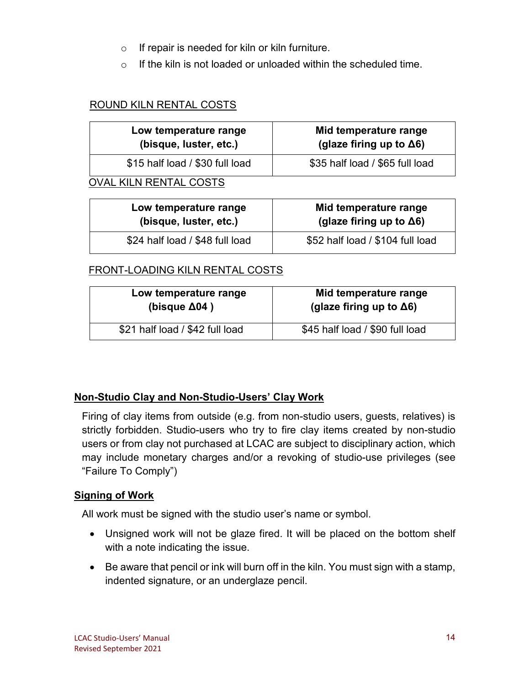- $\circ$  If repair is needed for kiln or kiln furniture.
- $\circ$  If the kiln is not loaded or unloaded within the scheduled time.

#### ROUND KILN RENTAL COSTS

| Low temperature range<br>(bisque, luster, etc.) | Mid temperature range<br>(glaze firing up to $\Delta 6$ ) |
|-------------------------------------------------|-----------------------------------------------------------|
| \$15 half load / \$30 full load                 | \$35 half load / \$65 full load                           |
| <b>OVAL KILN RENTAL COSTS</b>                   |                                                           |
| Low temperature range                           | Mid temperature range                                     |

| Low temperature range           | Mid temperature range            |
|---------------------------------|----------------------------------|
| (bisque, luster, etc.)          | (glaze firing up to $\Delta 6$ ) |
| \$24 half load / \$48 full load | \$52 half load / \$104 full load |

#### FRONT-LOADING KILN RENTAL COSTS

| Low temperature range           | Mid temperature range            |
|---------------------------------|----------------------------------|
| (bisque $\Delta$ 04)            | (glaze firing up to $\Delta 6$ ) |
| \$21 half load / \$42 full load | \$45 half load / \$90 full load  |

#### **Non-Studio Clay and Non-Studio-Users' Clay Work**

Firing of clay items from outside (e.g. from non-studio users, guests, relatives) is strictly forbidden. Studio-users who try to fire clay items created by non-studio users or from clay not purchased at LCAC are subject to disciplinary action, which may include monetary charges and/or a revoking of studio-use privileges (see "Failure To Comply")

#### **Signing of Work**

All work must be signed with the studio user's name or symbol.

- Unsigned work will not be glaze fired. It will be placed on the bottom shelf with a note indicating the issue.
- Be aware that pencil or ink will burn off in the kiln. You must sign with a stamp, indented signature, or an underglaze pencil.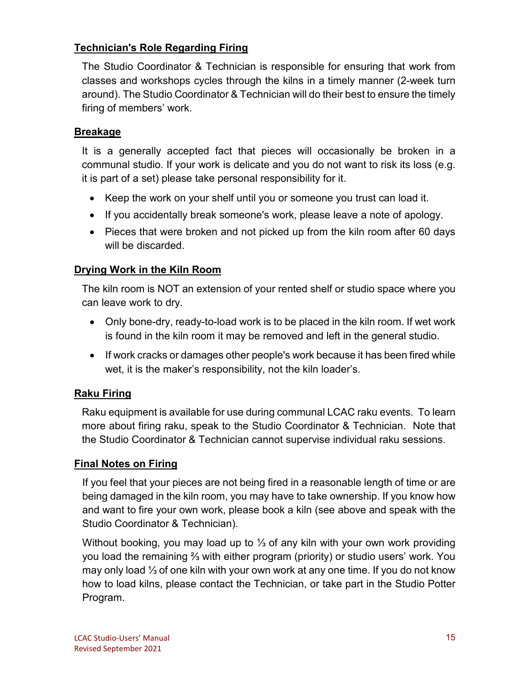# **Technician's Role Regarding Firing**

The Studio Coordinator & Technician is responsible for ensuring that work from classes and workshops cycles through the kilns in a timely manner (2-week turn around). The Studio Coordinator & Technician will do their best to ensure the timely firing of members' work.

## **Breakage**

It is a generally accepted fact that pieces will occasionally be broken in a communal studio. If your work is delicate and you do not want to risk its loss (e.g. it is part of a set) please take personal responsibility for it.

- Keep the work on your shelf until you or someone you trust can load it.
- If you accidentally break someone's work, please leave a note of apology.
- Pieces that were broken and not picked up from the kiln room after 60 days will be discarded.

# **Drying Work in the Kiln Room**

The kiln room is NOT an extension of your rented shelf or studio space where you can leave work to dry.

- Only bone-dry, ready-to-load work is to be placed in the kiln room. If wet work is found in the kiln room it may be removed and left in the general studio.
- If work cracks or damages other people's work because it has been fired while wet, it is the maker's responsibility, not the kiln loader's.

# **Raku Firing**

Raku equipment is available for use during communal LCAC raku events. To learn more about firing raku, speak to the Studio Coordinator & Technician. Note that the Studio Coordinator & Technician cannot supervise individual raku sessions.

# **Final Notes on Firing**

If you feel that your pieces are not being fired in a reasonable length of time or are being damaged in the kiln room, you may have to take ownership. If you know how and want to fire your own work, please book a kiln (see above and speak with the Studio Coordinator & Technician).

Without booking, you may load up to ⅓ of any kiln with your own work providing you load the remaining ⅔ with either program (priority) or studio users' work. You may only load ⅓ of one kiln with your own work at any one time. If you do not know how to load kilns, please contact the Technician, or take part in the Studio Potter Program.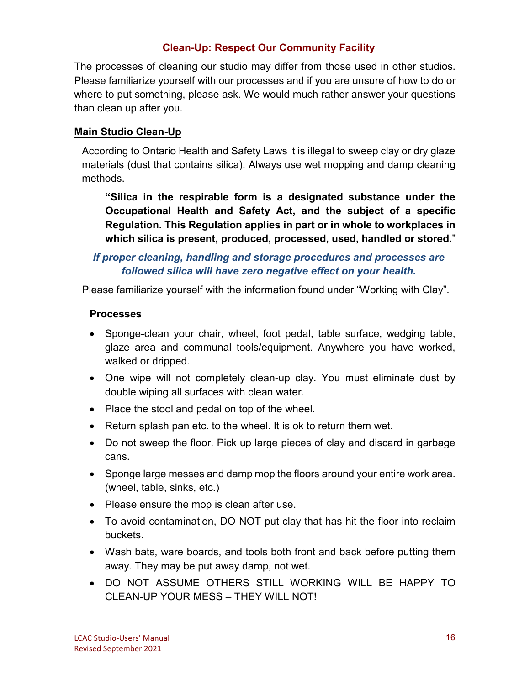## **Clean-Up: Respect Our Community Facility**

The processes of cleaning our studio may differ from those used in other studios. Please familiarize yourself with our processes and if you are unsure of how to do or where to put something, please ask. We would much rather answer your questions than clean up after you.

## **Main Studio Clean-Up**

According to Ontario Health and Safety Laws it is illegal to sweep clay or dry glaze materials (dust that contains silica). Always use wet mopping and damp cleaning methods.

**"Silica in the respirable form is a designated substance under the Occupational Health and Safety Act, and the subject of a specific Regulation. This Regulation applies in part or in whole to workplaces in which silica is present, produced, processed, used, handled or stored.**"

# *If proper cleaning, handling and storage procedures and processes are followed silica will have zero negative effect on your health.*

Please familiarize yourself with the information found under "Working with Clay".

## **Processes**

- Sponge-clean your chair, wheel, foot pedal, table surface, wedging table, glaze area and communal tools/equipment. Anywhere you have worked, walked or dripped.
- One wipe will not completely clean-up clay. You must eliminate dust by double wiping all surfaces with clean water.
- Place the stool and pedal on top of the wheel.
- Return splash pan etc. to the wheel. It is ok to return them wet.
- Do not sweep the floor. Pick up large pieces of clay and discard in garbage cans.
- Sponge large messes and damp mop the floors around your entire work area. (wheel, table, sinks, etc.)
- Please ensure the mop is clean after use.
- To avoid contamination, DO NOT put clay that has hit the floor into reclaim buckets.
- Wash bats, ware boards, and tools both front and back before putting them away. They may be put away damp, not wet.
- DO NOT ASSUME OTHERS STILL WORKING WILL BE HAPPY TO CLEAN-UP YOUR MESS – THEY WILL NOT!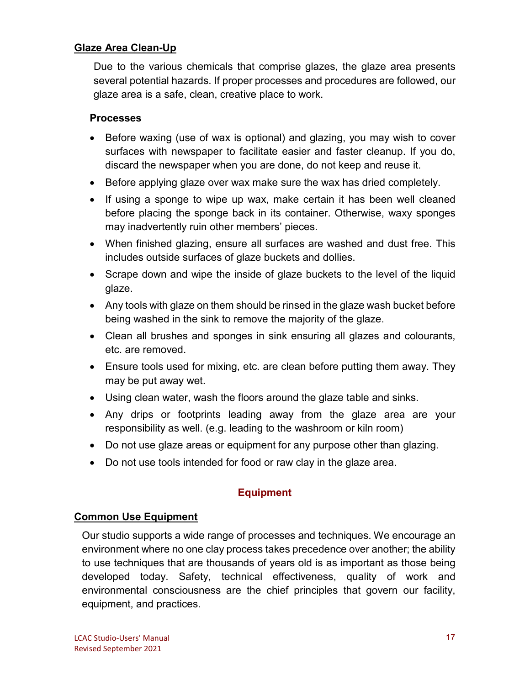#### **Glaze Area Clean-Up**

Due to the various chemicals that comprise glazes, the glaze area presents several potential hazards. If proper processes and procedures are followed, our glaze area is a safe, clean, creative place to work.

#### **Processes**

- Before waxing (use of wax is optional) and glazing, you may wish to cover surfaces with newspaper to facilitate easier and faster cleanup. If you do, discard the newspaper when you are done, do not keep and reuse it.
- Before applying glaze over wax make sure the wax has dried completely.
- If using a sponge to wipe up wax, make certain it has been well cleaned before placing the sponge back in its container. Otherwise, waxy sponges may inadvertently ruin other members' pieces.
- When finished glazing, ensure all surfaces are washed and dust free. This includes outside surfaces of glaze buckets and dollies.
- Scrape down and wipe the inside of glaze buckets to the level of the liquid glaze.
- Any tools with glaze on them should be rinsed in the glaze wash bucket before being washed in the sink to remove the majority of the glaze.
- Clean all brushes and sponges in sink ensuring all glazes and colourants, etc. are removed.
- Ensure tools used for mixing, etc. are clean before putting them away. They may be put away wet.
- Using clean water, wash the floors around the glaze table and sinks.
- Any drips or footprints leading away from the glaze area are your responsibility as well. (e.g. leading to the washroom or kiln room)
- Do not use glaze areas or equipment for any purpose other than glazing.
- Do not use tools intended for food or raw clay in the glaze area.

#### **Equipment**

#### **Common Use Equipment**

Our studio supports a wide range of processes and techniques. We encourage an environment where no one clay process takes precedence over another; the ability to use techniques that are thousands of years old is as important as those being developed today. Safety, technical effectiveness, quality of work and environmental consciousness are the chief principles that govern our facility, equipment, and practices.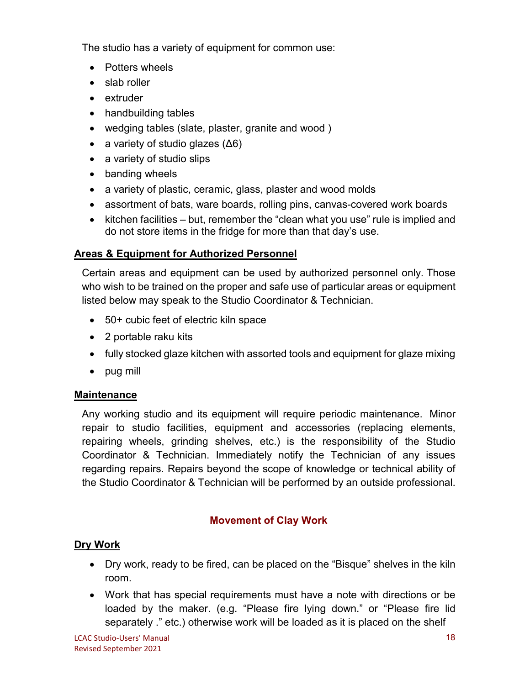The studio has a variety of equipment for common use:

- Potters wheels
- slab roller
- extruder
- handbuilding tables
- wedging tables (slate, plaster, granite and wood )
- a variety of studio glazes  $( \Delta 6)$
- a variety of studio slips
- banding wheels
- a variety of plastic, ceramic, glass, plaster and wood molds
- assortment of bats, ware boards, rolling pins, canvas-covered work boards
- kitchen facilities but, remember the "clean what you use" rule is implied and do not store items in the fridge for more than that day's use.

# **Areas & Equipment for Authorized Personnel**

Certain areas and equipment can be used by authorized personnel only. Those who wish to be trained on the proper and safe use of particular areas or equipment listed below may speak to the Studio Coordinator & Technician.

- 50+ cubic feet of electric kiln space
- 2 portable raku kits
- fully stocked glaze kitchen with assorted tools and equipment for glaze mixing
- pug mill

# **Maintenance**

Any working studio and its equipment will require periodic maintenance. Minor repair to studio facilities, equipment and accessories (replacing elements, repairing wheels, grinding shelves, etc.) is the responsibility of the Studio Coordinator & Technician. Immediately notify the Technician of any issues regarding repairs. Repairs beyond the scope of knowledge or technical ability of the Studio Coordinator & Technician will be performed by an outside professional.

# **Movement of Clay Work**

# **Dry Work**

- Dry work, ready to be fired, can be placed on the "Bisque" shelves in the kiln room.
- Work that has special requirements must have a note with directions or be loaded by the maker. (e.g. "Please fire lying down." or "Please fire lid separately ." etc.) otherwise work will be loaded as it is placed on the shelf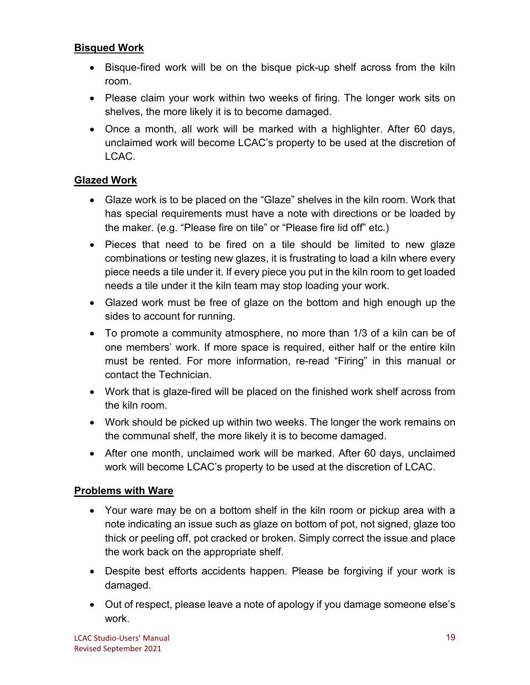#### **Bisqued Work**

- Bisque-fired work will be on the bisque pick-up shelf across from the kiln room.
- Please claim your work within two weeks of firing. The longer work sits on shelves, the more likely it is to become damaged.
- Once a month, all work will be marked with a highlighter. After 60 days, unclaimed work will become LCAC's property to be used at the discretion of LCAC.

## **Glazed Work**

- Glaze work is to be placed on the "Glaze" shelves in the kiln room. Work that has special requirements must have a note with directions or be loaded by the maker. (e.g. "Please fire on tile" or "Please fire lid off" etc.)
- Pieces that need to be fired on a tile should be limited to new glaze combinations or testing new glazes, it is frustrating to load a kiln where every piece needs a tile under it. If every piece you put in the kiln room to get loaded needs a tile under it the kiln team may stop loading your work.
- Glazed work must be free of glaze on the bottom and high enough up the sides to account for running.
- To promote a community atmosphere, no more than 1/3 of a kiln can be of one members' work. If more space is required, either half or the entire kiln must be rented. For more information, re-read "Firing" in this manual or contact the Technician.
- Work that is glaze-fired will be placed on the finished work shelf across from the kiln room.
- Work should be picked up within two weeks. The longer the work remains on the communal shelf, the more likely it is to become damaged.
- After one month, unclaimed work will be marked. After 60 days, unclaimed work will become LCAC's property to be used at the discretion of LCAC.

#### **Problems with Ware**

- Your ware may be on a bottom shelf in the kiln room or pickup area with a note indicating an issue such as glaze on bottom of pot, not signed, glaze too thick or peeling off, pot cracked or broken. Simply correct the issue and place the work back on the appropriate shelf.
- Despite best efforts accidents happen. Please be forgiving if your work is damaged.
- Out of respect, please leave a note of apology if you damage someone else's work.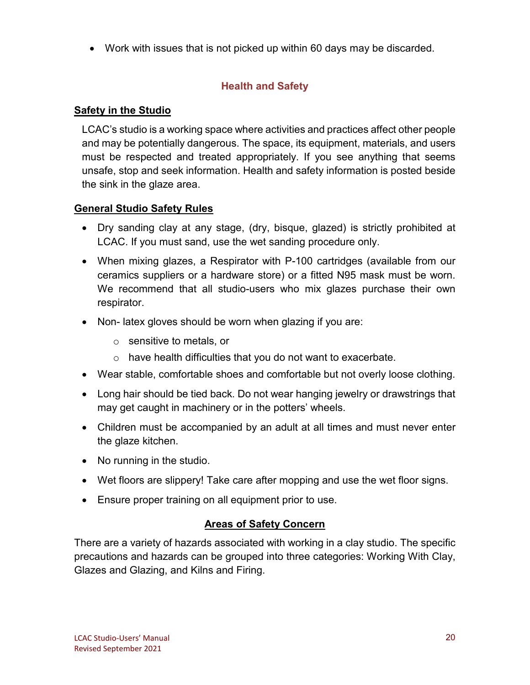• Work with issues that is not picked up within 60 days may be discarded.

# **Health and Safety**

# **Safety in the Studio**

LCAC's studio is a working space where activities and practices affect other people and may be potentially dangerous. The space, its equipment, materials, and users must be respected and treated appropriately. If you see anything that seems unsafe, stop and seek information. Health and safety information is posted beside the sink in the glaze area.

# **General Studio Safety Rules**

- Dry sanding clay at any stage, (dry, bisque, glazed) is strictly prohibited at LCAC. If you must sand, use the wet sanding procedure only.
- When mixing glazes, a Respirator with P-100 cartridges (available from our ceramics suppliers or a hardware store) or a fitted N95 mask must be worn. We recommend that all studio-users who mix glazes purchase their own respirator.
- Non- latex gloves should be worn when glazing if you are:
	- o sensitive to metals, or
	- o have health difficulties that you do not want to exacerbate.
- Wear stable, comfortable shoes and comfortable but not overly loose clothing.
- Long hair should be tied back. Do not wear hanging jewelry or drawstrings that may get caught in machinery or in the potters' wheels.
- Children must be accompanied by an adult at all times and must never enter the glaze kitchen.
- No running in the studio.
- Wet floors are slippery! Take care after mopping and use the wet floor signs.
- Ensure proper training on all equipment prior to use.

# **Areas of Safety Concern**

There are a variety of hazards associated with working in a clay studio. The specific precautions and hazards can be grouped into three categories: Working With Clay, Glazes and Glazing, and Kilns and Firing.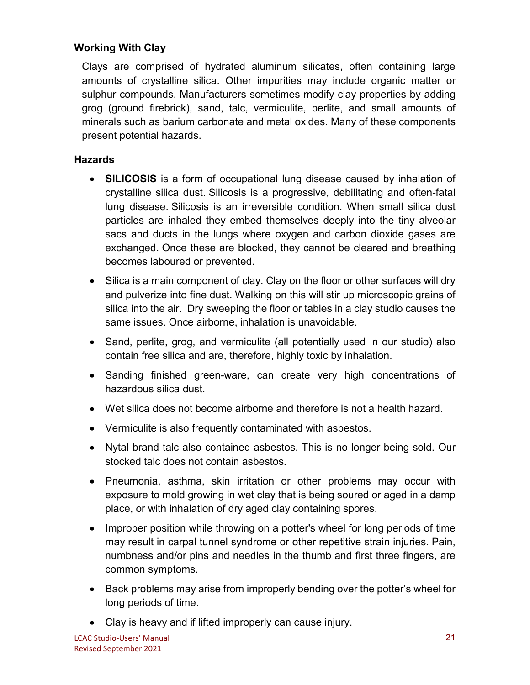#### **Working With Clay**

Clays are comprised of hydrated aluminum silicates, often containing large amounts of crystalline silica. Other impurities may include organic matter or sulphur compounds. Manufacturers sometimes modify clay properties by adding grog (ground firebrick), sand, talc, vermiculite, perlite, and small amounts of minerals such as barium carbonate and metal oxides. Many of these components present potential hazards.

#### **Hazards**

- **SILICOSIS** is a form of occupational lung disease caused by inhalation of crystalline silica dust. Silicosis is a progressive, debilitating and often-fatal lung disease. Silicosis is an irreversible condition. When small silica dust particles are inhaled they embed themselves deeply into the tiny alveolar sacs and ducts in the lungs where oxygen and carbon dioxide gases are exchanged. Once these are blocked, they cannot be cleared and breathing becomes laboured or prevented.
- Silica is a main component of clay. Clay on the floor or other surfaces will dry and pulverize into fine dust. Walking on this will stir up microscopic grains of silica into the air. Dry sweeping the floor or tables in a clay studio causes the same issues. Once airborne, inhalation is unavoidable.
- Sand, perlite, grog, and vermiculite (all potentially used in our studio) also contain free silica and are, therefore, highly toxic by inhalation.
- Sanding finished green-ware, can create very high concentrations of hazardous silica dust.
- Wet silica does not become airborne and therefore is not a health hazard.
- Vermiculite is also frequently contaminated with asbestos.
- Nytal brand talc also contained asbestos. This is no longer being sold. Our stocked talc does not contain asbestos.
- Pneumonia, asthma, skin irritation or other problems may occur with exposure to mold growing in wet clay that is being soured or aged in a damp place, or with inhalation of dry aged clay containing spores.
- Improper position while throwing on a potter's wheel for long periods of time may result in carpal tunnel syndrome or other repetitive strain injuries. Pain, numbness and/or pins and needles in the thumb and first three fingers, are common symptoms.
- Back problems may arise from improperly bending over the potter's wheel for long periods of time.
- Clay is heavy and if lifted improperly can cause injury.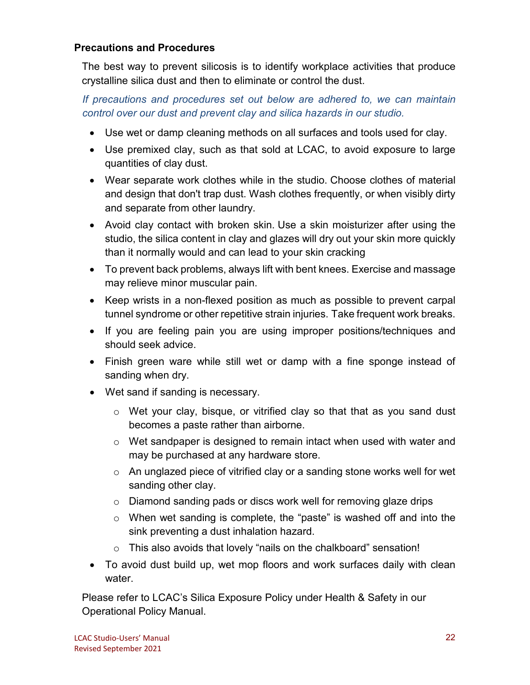#### **Precautions and Procedures**

The best way to prevent silicosis is to identify workplace activities that produce crystalline silica dust and then to eliminate or control the dust.

*If precautions and procedures set out below are adhered to, we can maintain control over our dust and prevent clay and silica hazards in our studio.*

- Use wet or damp cleaning methods on all surfaces and tools used for clay.
- Use premixed clay, such as that sold at LCAC, to avoid exposure to large quantities of clay dust.
- Wear separate work clothes while in the studio. Choose clothes of material and design that don't trap dust. Wash clothes frequently, or when visibly dirty and separate from other laundry.
- Avoid clay contact with broken skin. Use a skin moisturizer after using the studio, the silica content in clay and glazes will dry out your skin more quickly than it normally would and can lead to your skin cracking
- To prevent back problems, always lift with bent knees. Exercise and massage may relieve minor muscular pain.
- Keep wrists in a non-flexed position as much as possible to prevent carpal tunnel syndrome or other repetitive strain injuries. Take frequent work breaks.
- If you are feeling pain you are using improper positions/techniques and should seek advice.
- Finish green ware while still wet or damp with a fine sponge instead of sanding when dry.
- Wet sand if sanding is necessary.
	- o Wet your clay, bisque, or vitrified clay so that that as you sand dust becomes a paste rather than airborne.
	- o Wet sandpaper is designed to remain intact when used with water and may be purchased at any hardware store.
	- o An unglazed piece of vitrified clay or a sanding stone works well for wet sanding other clay.
	- o Diamond sanding pads or discs work well for removing glaze drips
	- o When wet sanding is complete, the "paste" is washed off and into the sink preventing a dust inhalation hazard.
	- o This also avoids that lovely "nails on the chalkboard" sensation!
- To avoid dust build up, wet mop floors and work surfaces daily with clean water.

Please refer to LCAC's Silica Exposure Policy under Health & Safety in our Operational Policy Manual.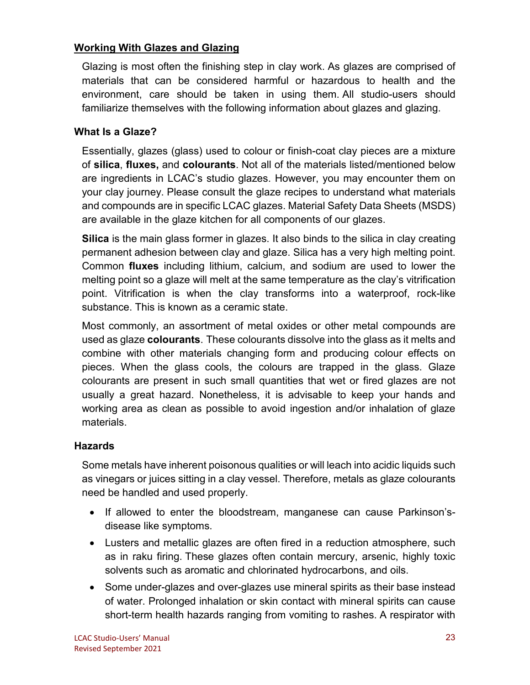#### **Working With Glazes and Glazing**

Glazing is most often the finishing step in clay work. As glazes are comprised of materials that can be considered harmful or hazardous to health and the environment, care should be taken in using them. All studio-users should familiarize themselves with the following information about glazes and glazing.

## **What Is a Glaze?**

Essentially, glazes (glass) used to colour or finish-coat clay pieces are a mixture of **silica**, **fluxes,** and **colourants**. Not all of the materials listed/mentioned below are ingredients in LCAC's studio glazes. However, you may encounter them on your clay journey. Please consult the glaze recipes to understand what materials and compounds are in specific LCAC glazes. Material Safety Data Sheets (MSDS) are available in the glaze kitchen for all components of our glazes.

**Silica** is the main glass former in glazes. It also binds to the silica in clay creating permanent adhesion between clay and glaze. Silica has a very high melting point. Common **fluxes** including lithium, calcium, and sodium are used to lower the melting point so a glaze will melt at the same temperature as the clay's vitrification point. Vitrification is when the clay transforms into a waterproof, rock-like substance. This is known as a ceramic state.

Most commonly, an assortment of metal oxides or other metal compounds are used as glaze **colourants**. These colourants dissolve into the glass as it melts and combine with other materials changing form and producing colour effects on pieces. When the glass cools, the colours are trapped in the glass. Glaze colourants are present in such small quantities that wet or fired glazes are not usually a great hazard. Nonetheless, it is advisable to keep your hands and working area as clean as possible to avoid ingestion and/or inhalation of glaze materials.

#### **Hazards**

Some metals have inherent poisonous qualities or will leach into acidic liquids such as vinegars or juices sitting in a clay vessel. Therefore, metals as glaze colourants need be handled and used properly.

- If allowed to enter the bloodstream, manganese can cause Parkinson'sdisease like symptoms.
- Lusters and metallic glazes are often fired in a reduction atmosphere, such as in raku firing. These glazes often contain mercury, arsenic, highly toxic solvents such as aromatic and chlorinated hydrocarbons, and oils.
- Some under-glazes and over-glazes use mineral spirits as their base instead of water. Prolonged inhalation or skin contact with mineral spirits can cause short-term health hazards ranging from vomiting to rashes. A respirator with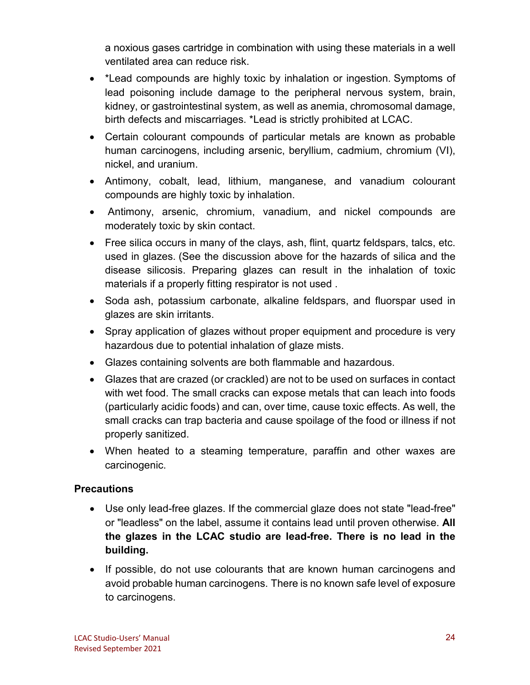a noxious gases cartridge in combination with using these materials in a well ventilated area can reduce risk.

- \*Lead compounds are highly toxic by inhalation or ingestion. Symptoms of lead poisoning include damage to the peripheral nervous system, brain, kidney, or gastrointestinal system, as well as anemia, chromosomal damage, birth defects and miscarriages. \*Lead is strictly prohibited at LCAC.
- Certain colourant compounds of particular metals are known as probable human carcinogens, including arsenic, beryllium, cadmium, chromium (VI), nickel, and uranium.
- Antimony, cobalt, lead, lithium, manganese, and vanadium colourant compounds are highly toxic by inhalation.
- Antimony, arsenic, chromium, vanadium, and nickel compounds are moderately toxic by skin contact.
- Free silica occurs in many of the clays, ash, flint, quartz feldspars, talcs, etc. used in glazes. (See the discussion above for the hazards of silica and the disease silicosis. Preparing glazes can result in the inhalation of toxic materials if a properly fitting respirator is not used .
- Soda ash, potassium carbonate, alkaline feldspars, and fluorspar used in glazes are skin irritants.
- Spray application of glazes without proper equipment and procedure is very hazardous due to potential inhalation of glaze mists.
- Glazes containing solvents are both flammable and hazardous.
- Glazes that are crazed (or crackled) are not to be used on surfaces in contact with wet food. The small cracks can expose metals that can leach into foods (particularly acidic foods) and can, over time, cause toxic effects. As well, the small cracks can trap bacteria and cause spoilage of the food or illness if not properly sanitized.
- When heated to a steaming temperature, paraffin and other waxes are carcinogenic.

#### **Precautions**

- Use only lead-free glazes. If the commercial glaze does not state "lead-free" or "leadless" on the label, assume it contains lead until proven otherwise. **All the glazes in the LCAC studio are lead-free. There is no lead in the building.**
- If possible, do not use colourants that are known human carcinogens and avoid probable human carcinogens. There is no known safe level of exposure to carcinogens.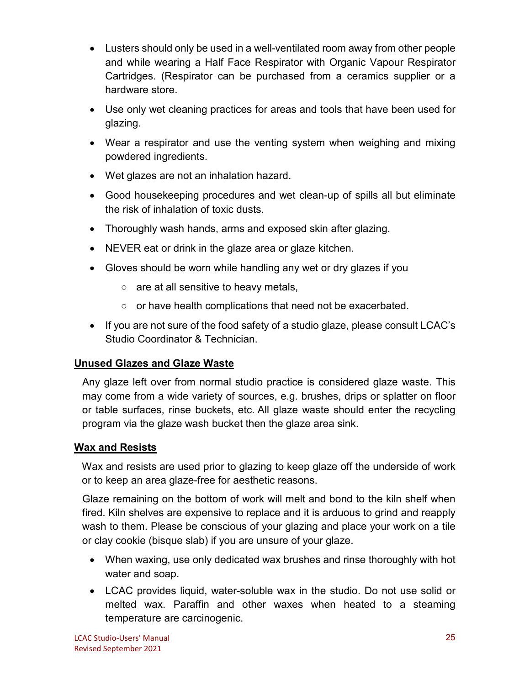- Lusters should only be used in a well-ventilated room away from other people and while wearing a Half Face Respirator with Organic Vapour Respirator Cartridges. (Respirator can be purchased from a ceramics supplier or a hardware store.
- Use only wet cleaning practices for areas and tools that have been used for glazing.
- Wear a respirator and use the venting system when weighing and mixing powdered ingredients.
- Wet glazes are not an inhalation hazard.
- Good housekeeping procedures and wet clean-up of spills all but eliminate the risk of inhalation of toxic dusts.
- Thoroughly wash hands, arms and exposed skin after glazing.
- NEVER eat or drink in the glaze area or glaze kitchen.
- Gloves should be worn while handling any wet or dry glazes if you
	- are at all sensitive to heavy metals,
	- or have health complications that need not be exacerbated.
- If you are not sure of the food safety of a studio glaze, please consult LCAC's Studio Coordinator & Technician.

# **Unused Glazes and Glaze Waste**

Any glaze left over from normal studio practice is considered glaze waste. This may come from a wide variety of sources, e.g. brushes, drips or splatter on floor or table surfaces, rinse buckets, etc. All glaze waste should enter the recycling program via the glaze wash bucket then the glaze area sink.

# **Wax and Resists**

Wax and resists are used prior to glazing to keep glaze off the underside of work or to keep an area glaze-free for aesthetic reasons.

Glaze remaining on the bottom of work will melt and bond to the kiln shelf when fired. Kiln shelves are expensive to replace and it is arduous to grind and reapply wash to them. Please be conscious of your glazing and place your work on a tile or clay cookie (bisque slab) if you are unsure of your glaze.

- When waxing, use only dedicated wax brushes and rinse thoroughly with hot water and soap.
- LCAC provides liquid, water-soluble wax in the studio. Do not use solid or melted wax. Paraffin and other waxes when heated to a steaming temperature are carcinogenic.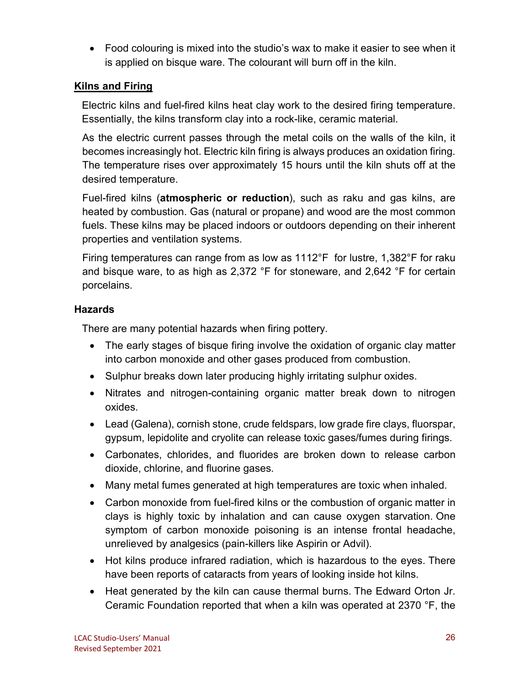• Food colouring is mixed into the studio's wax to make it easier to see when it is applied on bisque ware. The colourant will burn off in the kiln.

## **Kilns and Firing**

Electric kilns and fuel-fired kilns heat clay work to the desired firing temperature. Essentially, the kilns transform clay into a rock-like, ceramic material.

As the electric current passes through the metal coils on the walls of the kiln, it becomes increasingly hot. Electric kiln firing is always produces an oxidation firing. The temperature rises over approximately 15 hours until the kiln shuts off at the desired temperature.

Fuel-fired kilns (**atmospheric or reduction**), such as raku and gas kilns, are heated by combustion. Gas (natural or propane) and wood are the most common fuels. These kilns may be placed indoors or outdoors depending on their inherent properties and ventilation systems.

Firing temperatures can range from as low as 1112°F for lustre, 1,382°F for raku and bisque ware, to as high as 2,372 °F for stoneware, and 2,642 °F for certain porcelains.

## **Hazards**

There are many potential hazards when firing pottery.

- The early stages of bisque firing involve the oxidation of organic clay matter into carbon monoxide and other gases produced from combustion.
- Sulphur breaks down later producing highly irritating sulphur oxides.
- Nitrates and nitrogen-containing organic matter break down to nitrogen oxides.
- Lead (Galena), cornish stone, crude feldspars, low grade fire clays, fluorspar, gypsum, lepidolite and cryolite can release toxic gases/fumes during firings.
- Carbonates, chlorides, and fluorides are broken down to release carbon dioxide, chlorine, and fluorine gases.
- Many metal fumes generated at high temperatures are toxic when inhaled.
- Carbon monoxide from fuel-fired kilns or the combustion of organic matter in clays is highly toxic by inhalation and can cause oxygen starvation. One symptom of carbon monoxide poisoning is an intense frontal headache, unrelieved by analgesics (pain-killers like Aspirin or Advil).
- Hot kilns produce infrared radiation, which is hazardous to the eyes. There have been reports of cataracts from years of looking inside hot kilns.
- Heat generated by the kiln can cause thermal burns. The Edward Orton Jr. Ceramic Foundation reported that when a kiln was operated at 2370 °F, the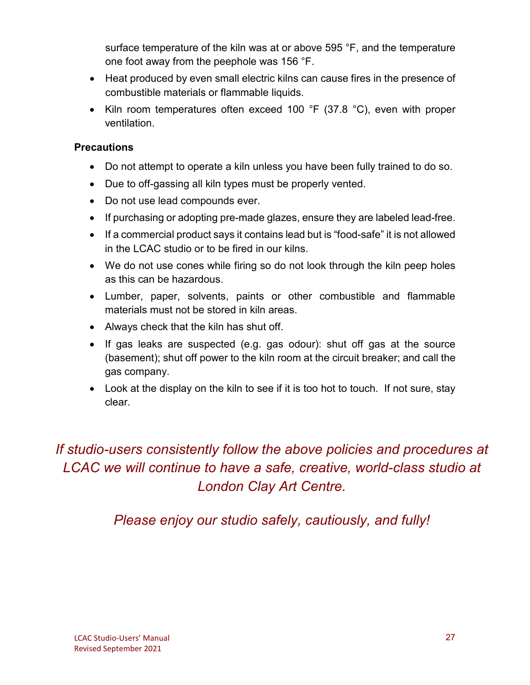surface temperature of the kiln was at or above 595 °F, and the temperature one foot away from the peephole was 156 °F.

- Heat produced by even small electric kilns can cause fires in the presence of combustible materials or flammable liquids.
- Kiln room temperatures often exceed 100 °F (37.8 °C), even with proper ventilation.

#### **Precautions**

- Do not attempt to operate a kiln unless you have been fully trained to do so.
- Due to off-gassing all kiln types must be properly vented.
- Do not use lead compounds ever.
- If purchasing or adopting pre-made glazes, ensure they are labeled lead-free.
- If a commercial product says it contains lead but is "food-safe" it is not allowed in the LCAC studio or to be fired in our kilns.
- We do not use cones while firing so do not look through the kiln peep holes as this can be hazardous.
- Lumber, paper, solvents, paints or other combustible and flammable materials must not be stored in kiln areas.
- Always check that the kiln has shut off.
- If gas leaks are suspected (e.g. gas odour): shut off gas at the source (basement); shut off power to the kiln room at the circuit breaker; and call the gas company.
- Look at the display on the kiln to see if it is too hot to touch. If not sure, stay clear.

*If studio-users consistently follow the above policies and procedures at LCAC we will continue to have a safe, creative, world-class studio at London Clay Art Centre.*

*Please enjoy our studio safely, cautiously, and fully!*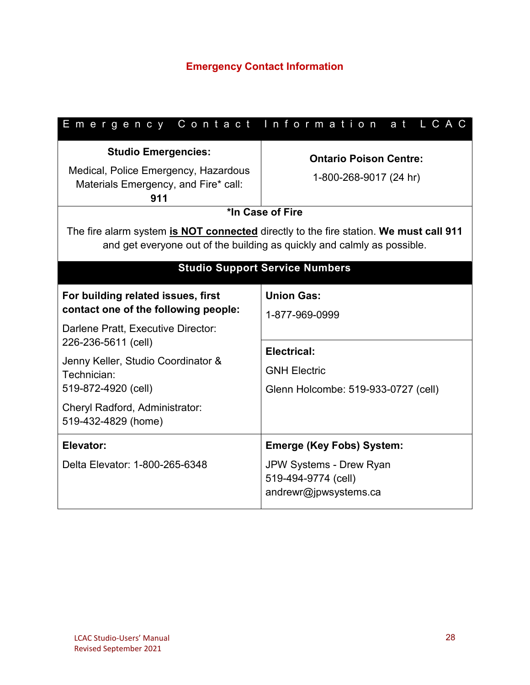| Emergency Contact Information                                                                                                                                                                                                                                                | at LCAC                                                                                                                                                                                                                                         |  |  |
|------------------------------------------------------------------------------------------------------------------------------------------------------------------------------------------------------------------------------------------------------------------------------|-------------------------------------------------------------------------------------------------------------------------------------------------------------------------------------------------------------------------------------------------|--|--|
| <b>Studio Emergencies:</b><br>Medical, Police Emergency, Hazardous<br>Materials Emergency, and Fire* call:<br>911                                                                                                                                                            | <b>Ontario Poison Centre:</b><br>1-800-268-9017 (24 hr)<br>*In Case of Fire<br>The fire alarm system is NOT connected directly to the fire station. We must call 911<br>and get everyone out of the building as quickly and calmly as possible. |  |  |
| <b>Studio Support Service Numbers</b>                                                                                                                                                                                                                                        |                                                                                                                                                                                                                                                 |  |  |
| For building related issues, first<br>contact one of the following people:<br>Darlene Pratt, Executive Director:<br>226-236-5611 (cell)<br>Jenny Keller, Studio Coordinator &<br>Technician:<br>519-872-4920 (cell)<br>Cheryl Radford, Administrator:<br>519-432-4829 (home) | <b>Union Gas:</b><br>1-877-969-0999<br><b>Electrical:</b><br><b>GNH Electric</b><br>Glenn Holcombe: 519-933-0727 (cell)                                                                                                                         |  |  |
| Elevator:<br>Delta Elevator: 1-800-265-6348                                                                                                                                                                                                                                  | <b>Emerge (Key Fobs) System:</b><br>JPW Systems - Drew Ryan<br>519-494-9774 (cell)<br>andrewr@jpwsystems.ca                                                                                                                                     |  |  |